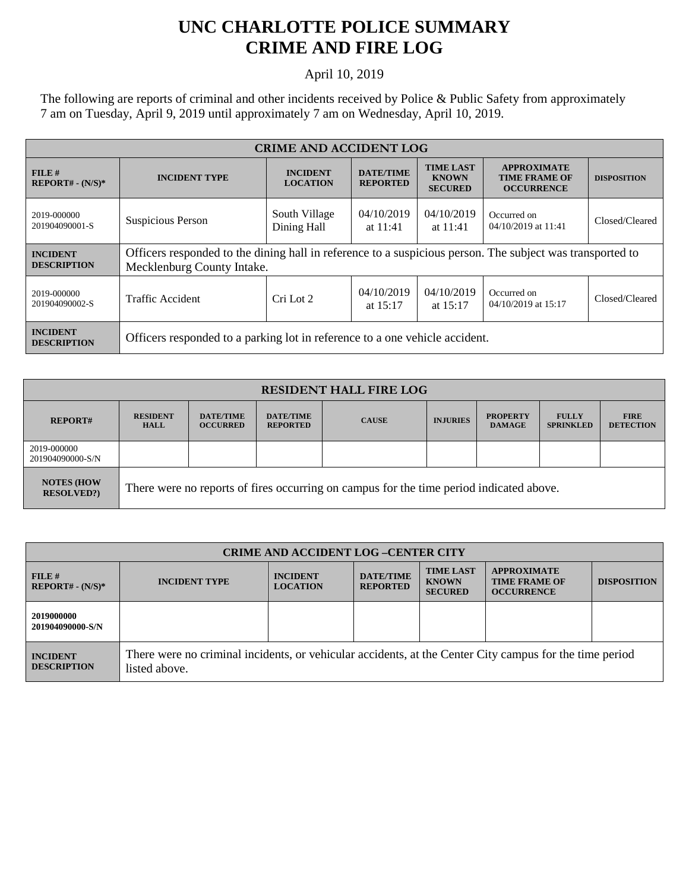## **UNC CHARLOTTE POLICE SUMMARY CRIME AND FIRE LOG**

## April 10, 2019

The following are reports of criminal and other incidents received by Police & Public Safety from approximately 7 am on Tuesday, April 9, 2019 until approximately 7 am on Wednesday, April 10, 2019.

| <b>CRIME AND ACCIDENT LOG</b>         |                                                                                                                                         |                                    |                                     |                                                    |                                                                 |                    |  |
|---------------------------------------|-----------------------------------------------------------------------------------------------------------------------------------------|------------------------------------|-------------------------------------|----------------------------------------------------|-----------------------------------------------------------------|--------------------|--|
| $FILE$ #<br>$REPORT# - (N/S)*$        | <b>INCIDENT TYPE</b>                                                                                                                    | <b>INCIDENT</b><br><b>LOCATION</b> | <b>DATE/TIME</b><br><b>REPORTED</b> | <b>TIME LAST</b><br><b>KNOWN</b><br><b>SECURED</b> | <b>APPROXIMATE</b><br><b>TIME FRAME OF</b><br><b>OCCURRENCE</b> | <b>DISPOSITION</b> |  |
| 2019-000000<br>201904090001-S         | Suspicious Person                                                                                                                       | South Village<br>Dining Hall       | 04/10/2019<br>at $11:41$            | 04/10/2019<br>at $11:41$                           | Occurred on<br>04/10/2019 at 11:41                              | Closed/Cleared     |  |
| <b>INCIDENT</b><br><b>DESCRIPTION</b> | Officers responded to the dining hall in reference to a suspicious person. The subject was transported to<br>Mecklenburg County Intake. |                                    |                                     |                                                    |                                                                 |                    |  |
| 2019-000000<br>201904090002-S         | <b>Traffic Accident</b>                                                                                                                 | Cri Lot 2                          | 04/10/2019<br>at $15:17$            | 04/10/2019<br>at $15:17$                           | Occurred on<br>04/10/2019 at 15:17                              | Closed/Cleared     |  |
| <b>INCIDENT</b><br><b>DESCRIPTION</b> | Officers responded to a parking lot in reference to a one vehicle accident.                                                             |                                    |                                     |                                                    |                                                                 |                    |  |

| <b>RESIDENT HALL FIRE LOG</b>         |                                                                                         |                                     |                                     |              |                 |                                  |                                  |                                 |
|---------------------------------------|-----------------------------------------------------------------------------------------|-------------------------------------|-------------------------------------|--------------|-----------------|----------------------------------|----------------------------------|---------------------------------|
| <b>REPORT#</b>                        | <b>RESIDENT</b><br><b>HALL</b>                                                          | <b>DATE/TIME</b><br><b>OCCURRED</b> | <b>DATE/TIME</b><br><b>REPORTED</b> | <b>CAUSE</b> | <b>INJURIES</b> | <b>PROPERTY</b><br><b>DAMAGE</b> | <b>FULLY</b><br><b>SPRINKLED</b> | <b>FIRE</b><br><b>DETECTION</b> |
| 2019-000000<br>201904090000-S/N       |                                                                                         |                                     |                                     |              |                 |                                  |                                  |                                 |
| <b>NOTES (HOW</b><br><b>RESOLVED?</b> | There were no reports of fires occurring on campus for the time period indicated above. |                                     |                                     |              |                 |                                  |                                  |                                 |

| <b>CRIME AND ACCIDENT LOG-CENTER CITY</b> |                                                                                                                          |                                    |                                     |                                                    |                                                                 |                    |
|-------------------------------------------|--------------------------------------------------------------------------------------------------------------------------|------------------------------------|-------------------------------------|----------------------------------------------------|-----------------------------------------------------------------|--------------------|
| FILE#<br>$REPORT# - (N/S)*$               | <b>INCIDENT TYPE</b>                                                                                                     | <b>INCIDENT</b><br><b>LOCATION</b> | <b>DATE/TIME</b><br><b>REPORTED</b> | <b>TIME LAST</b><br><b>KNOWN</b><br><b>SECURED</b> | <b>APPROXIMATE</b><br><b>TIME FRAME OF</b><br><b>OCCURRENCE</b> | <b>DISPOSITION</b> |
| 2019000000<br>201904090000-S/N            |                                                                                                                          |                                    |                                     |                                                    |                                                                 |                    |
| <b>INCIDENT</b><br><b>DESCRIPTION</b>     | There were no criminal incidents, or vehicular accidents, at the Center City campus for the time period<br>listed above. |                                    |                                     |                                                    |                                                                 |                    |